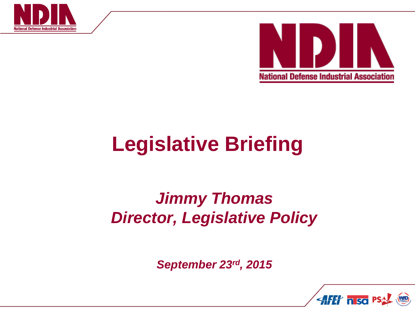



## **Legislative Briefing**

## *Jimmy Thomas Director, Legislative Policy*

*September 23rd, 2015*

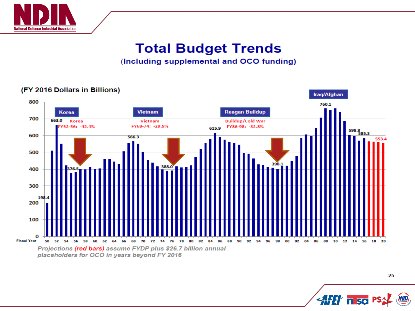

### **Total Budget Trends**

(Including supplemental and OCO funding)

#### (FY 2016 Dollars in Billions)



25 HH nso P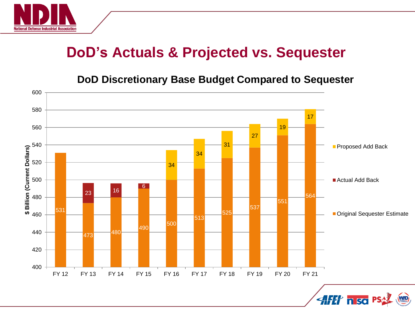

## **DoD's Actuals & Projected vs. Sequester**

#### **DoD Discretionary Base Budget Compared to Sequester**



**AFET n so PS**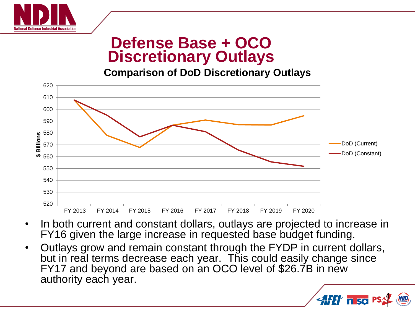

## **Defense Base + OCO Discretionary Outlays**

**Comparison of DoD Discretionary Outlays**



- In both current and constant dollars, outlays are projected to increase in FY16 given the large increase in requested base budget funding.
- Outlays grow and remain constant through the FYDP in current dollars, but in real terms decrease each year. This could easily change since FY17 and beyond are based on an OCO level of \$26.7B in new authority each year.

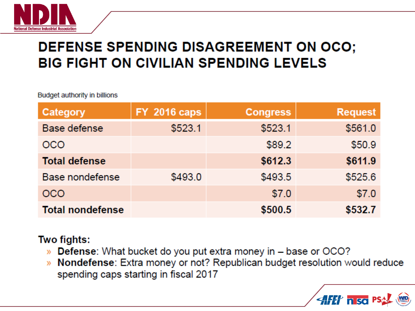

## **DEFENSE SPENDING DISAGREEMENT ON OCO; BIG FIGHT ON CIVILIAN SPENDING LEVELS**

Budget authority in billions

| Category                | <b>FY 2016 caps</b> | <b>Congress</b> | <b>Request</b> |
|-------------------------|---------------------|-----------------|----------------|
| Base defense            | \$523.1             | \$523.1         | \$561.0        |
| <b>OCO</b>              |                     | \$89.2          | \$50.9         |
| <b>Total defense</b>    |                     | \$612.3         | \$611.9        |
| Base nondefense         | \$493.0             | \$493.5         | \$525.6        |
| <b>OCO</b>              |                     | \$7.0           | \$7.0          |
| <b>Total nondefense</b> |                     | \$500.5         | \$532.7        |

#### Two fights:

- » Defense: What bucket do you put extra money in base or OCO?
- » Nondefense: Extra money or not? Republican budget resolution would reduce spending caps starting in fiscal 2017

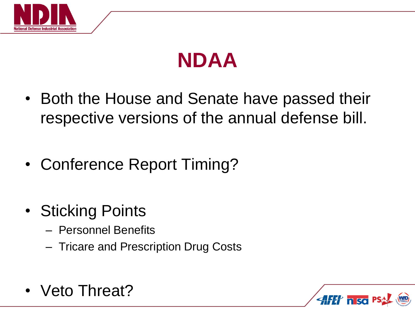



- Both the House and Senate have passed their respective versions of the annual defense bill.
- Conference Report Timing?
- Sticking Points
	- Personnel Benefits
	- Tricare and Prescription Drug Costs
- Veto Threat?

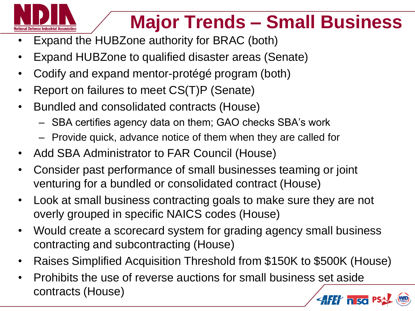

## **Major Trends – Small Business**

- Expand the HUBZone authority for BRAC (both)
- Expand HUBZone to qualified disaster areas (Senate)
- Codify and expand mentor-protégé program (both)
- Report on failures to meet CS(T)P (Senate)
- Bundled and consolidated contracts (House)
	- SBA certifies agency data on them; GAO checks SBA's work
	- Provide quick, advance notice of them when they are called for
- Add SBA Administrator to FAR Council (House)
- Consider past performance of small businesses teaming or joint venturing for a bundled or consolidated contract (House)
- Look at small business contracting goals to make sure they are not overly grouped in specific NAICS codes (House)
- Would create a scorecard system for grading agency small business contracting and subcontracting (House)
- Raises Simplified Acquisition Threshold from \$150K to \$500K (House)
- Prohibits the use of reverse auctions for small business set aside contracts (House)**AFF** nso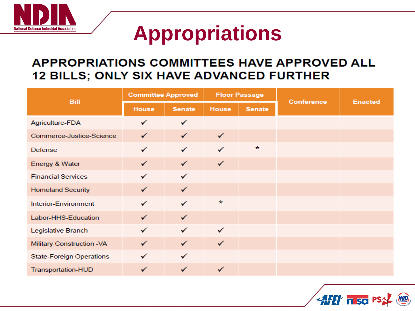

## **Appropriations**

## **APPROPRIATIONS COMMITTEES HAVE APPROVED ALL**

| <b>Bill</b>                     | <b>Committee Approved</b> |               | <b>Floor Passage</b> |               | <b>Conference</b> | <b>Enacted</b> |  |  |
|---------------------------------|---------------------------|---------------|----------------------|---------------|-------------------|----------------|--|--|
|                                 | House                     | <b>Senate</b> | <b>House</b>         | <b>Senate</b> |                   |                |  |  |
| Agriculture-FDA                 | ✓                         | ✓             |                      |               |                   |                |  |  |
| Commerce-Justice-Science        |                           | ✓             | $\checkmark$         |               |                   |                |  |  |
| <b>Defense</b>                  |                           | ✓             | ✓                    | $\star$       |                   |                |  |  |
| Energy & Water                  | ✓                         | ✓             | $\checkmark$         |               |                   |                |  |  |
| <b>Financial Services</b>       |                           | ✓             |                      |               |                   |                |  |  |
| <b>Homeland Security</b>        | ✓                         | ✓             |                      |               |                   |                |  |  |
| Interior-Environment            |                           | ✓             | $\ast$               |               |                   |                |  |  |
| Labor-HHS-Education             | ✓                         | ✓             |                      |               |                   |                |  |  |
| Legislative Branch              |                           | ✓             | ✓                    |               |                   |                |  |  |
| Military Construction -VA       | ✓                         | ✓             | ✓                    |               |                   |                |  |  |
| <b>State-Foreign Operations</b> |                           | ✓             |                      |               |                   |                |  |  |
| Transportation-HUD              | ✓                         | ✓             | ✓                    |               |                   |                |  |  |

**AFF** nso P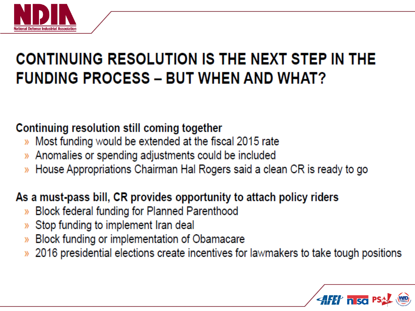

## CONTINUING RESOLUTION IS THE NEXT STEP IN THE **FUNDING PROCESS - BUT WHEN AND WHAT?**

#### Continuing resolution still coming together

- » Most funding would be extended at the fiscal 2015 rate
- Anomalies or spending adjustments could be included  $\mathcal{Y}$
- House Appropriations Chairman Hal Rogers said a clean CR is ready to go ))

### As a must-pass bill, CR provides opportunity to attach policy riders

- **Block federal funding for Planned Parenthood**  $\mathcal{Y}$
- Stop funding to implement Iran deal
- Block funding or implementation of Obamacare  $\mathcal{Y}$
- 2016 presidential elections create incentives for lawmakers to take tough positions

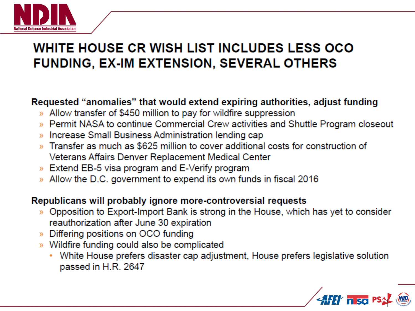

### **WHITE HOUSE CR WISH LIST INCLUDES LESS OCO FUNDING, EX-IM EXTENSION, SEVERAL OTHERS**

#### Requested "anomalies" that would extend expiring authorities, adjust funding

- » Allow transfer of \$450 million to pay for wildfire suppression
- » Permit NASA to continue Commercial Crew activities and Shuttle Program closeout
- » Increase Small Business Administration lending cap
- » Transfer as much as \$625 million to cover additional costs for construction of Veterans Affairs Denver Replacement Medical Center
- » Extend EB-5 visa program and E-Verify program
- » Allow the D.C. government to expend its own funds in fiscal 2016

#### Republicans will probably ignore more-controversial requests

- » Opposition to Export-Import Bank is strong in the House, which has yet to consider reauthorization after June 30 expiration
- » Differing positions on OCO funding
- » Wildfire funding could also be complicated
	- White House prefers disaster cap adjustment, House prefers legislative solution passed in H.R. 2647

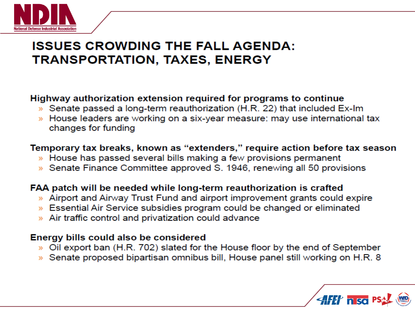

### **ISSUES CROWDING THE FALL AGENDA: TRANSPORTATION, TAXES, ENERGY**

#### Highway authorization extension required for programs to continue

- » Senate passed a long-term reauthorization (H.R. 22) that included Ex-Im
- » House leaders are working on a six-year measure: may use international tax changes for funding

#### Temporary tax breaks, known as "extenders," require action before tax season

- » House has passed several bills making a few provisions permanent
- » Senate Finance Committee approved S. 1946, renewing all 50 provisions

#### FAA patch will be needed while long-term reauthorization is crafted

- » Airport and Airway Trust Fund and airport improvement grants could expire
- » Essential Air Service subsidies program could be changed or eliminated
- » Air traffic control and privatization could advance

#### Energy bills could also be considered

- » Oil export ban (H.R. 702) slated for the House floor by the end of September
- » Senate proposed bipartisan omnibus bill, House panel still working on H.R. 8

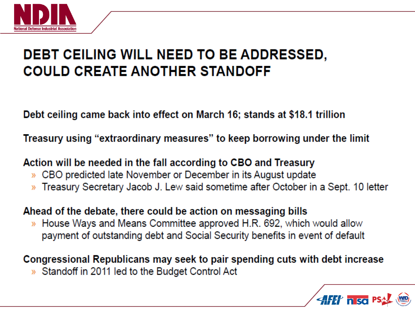

## DEBT CEILING WILL NEED TO BE ADDRESSED. **COULD CREATE ANOTHER STANDOFF**

Debt ceiling came back into effect on March 16; stands at \$18.1 trillion

Treasury using "extraordinary measures" to keep borrowing under the limit

Action will be needed in the fall according to CBO and Treasury

- CBO predicted late November or December in its August update  $\mathcal{Y}$
- » Treasury Secretary Jacob J. Lew said sometime after October in a Sept. 10 letter

Ahead of the debate, there could be action on messaging bills

» House Ways and Means Committee approved H.R. 692, which would allow payment of outstanding debt and Social Security benefits in event of default

Congressional Republicans may seek to pair spending cuts with debt increase

» Standoff in 2011 led to the Budget Control Act

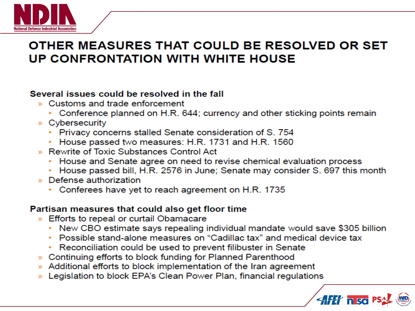

### OTHER MEASURES THAT COULD BE RESOLVED OR SET **UP CONFRONTATION WITH WHITE HOUSE**

#### Several issues could be resolved in the fall

- » Customs and trade enforcement
	- Conference planned on H.R. 644; currency and other sticking points remain
- » Cybersecurity
	- Privacy concerns stalled Senate consideration of S. 754
	- House passed two measures: H.R. 1731 and H.R. 1560
- » Rewrite of Toxic Substances Control Act
	- House and Senate agree on need to revise chemical evaluation process
	- House passed bill, H.R. 2576 in June; Senate may consider S. 697 this month
- » Defense authorization
	- Conferees have yet to reach agreement on H.R. 1735

#### Partisan measures that could also get floor time

- » Efforts to repeal or curtail Obamacare
	- New CBO estimate says repealing individual mandate would save \$305 billion
	- Possible stand-alone measures on "Cadillac tax" and medical device tax
	- Reconciliation could be used to prevent filibuster in Senate
- » Continuing efforts to block funding for Planned Parenthood
- » Additional efforts to block implementation of the Iran agreement
- » Legislation to block EPA's Clean Power Plan, financial regulations

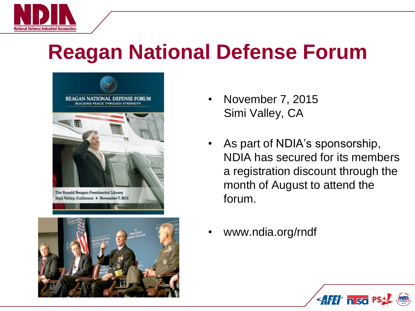

## **Reagan National Defense Forum**





- November 7, 2015 Simi Valley, CA
- As part of NDIA's sponsorship, NDIA has secured for its members a registration discount through the month of August to attend the forum.
- www.ndia.org/rndf